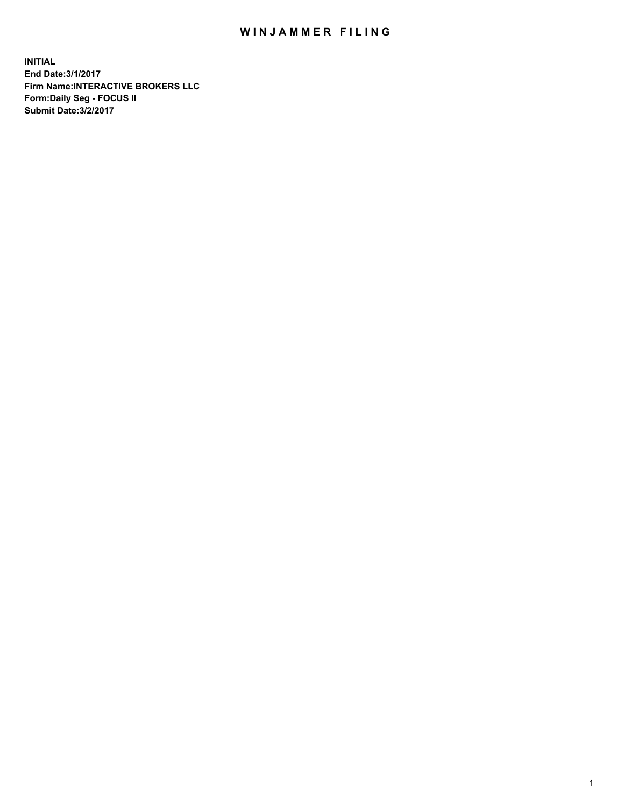## WIN JAMMER FILING

**INITIAL End Date:3/1/2017 Firm Name:INTERACTIVE BROKERS LLC Form:Daily Seg - FOCUS II Submit Date:3/2/2017**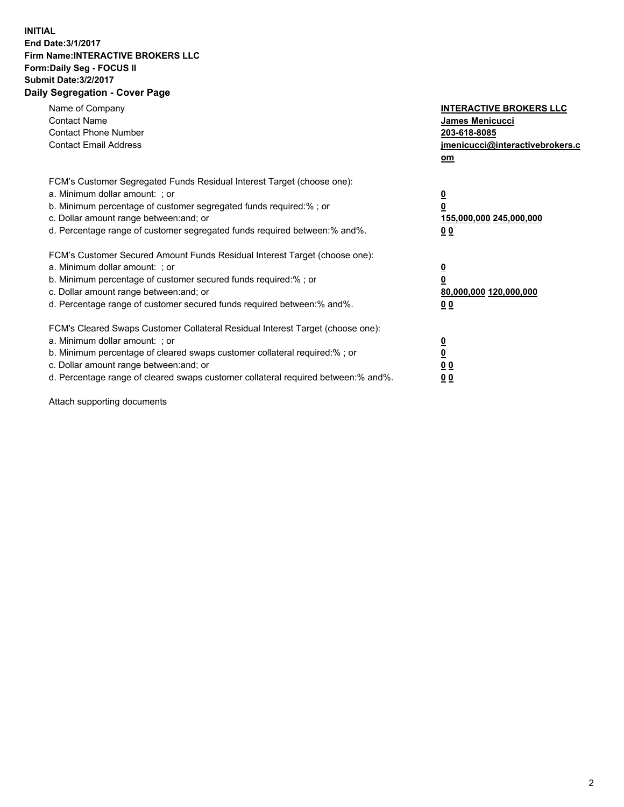## **INITIAL End Date:3/1/2017 Firm Name:INTERACTIVE BROKERS LLC Form:Daily Seg - FOCUS II Submit Date:3/2/2017 Daily Segregation - Cover Page**

| Name of Company<br><b>Contact Name</b><br><b>Contact Phone Number</b><br><b>Contact Email Address</b>                                                                                                                                                                                                                          | <b>INTERACTIVE BROKERS LLC</b><br>James Menicucci<br>203-618-8085<br>jmenicucci@interactivebrokers.c<br>om |
|--------------------------------------------------------------------------------------------------------------------------------------------------------------------------------------------------------------------------------------------------------------------------------------------------------------------------------|------------------------------------------------------------------------------------------------------------|
| FCM's Customer Segregated Funds Residual Interest Target (choose one):<br>a. Minimum dollar amount: ; or<br>b. Minimum percentage of customer segregated funds required:% ; or<br>c. Dollar amount range between: and; or<br>d. Percentage range of customer segregated funds required between:% and%.                         | $\overline{\mathbf{0}}$<br>0<br>155,000,000 245,000,000<br>0 <sub>0</sub>                                  |
| FCM's Customer Secured Amount Funds Residual Interest Target (choose one):<br>a. Minimum dollar amount: ; or<br>b. Minimum percentage of customer secured funds required:%; or<br>c. Dollar amount range between: and; or<br>d. Percentage range of customer secured funds required between: % and %.                          | $\overline{\mathbf{0}}$<br>0<br>80,000,000 120,000,000<br>0 <sub>0</sub>                                   |
| FCM's Cleared Swaps Customer Collateral Residual Interest Target (choose one):<br>a. Minimum dollar amount: ; or<br>b. Minimum percentage of cleared swaps customer collateral required:% ; or<br>c. Dollar amount range between: and; or<br>d. Percentage range of cleared swaps customer collateral required between:% and%. | $\overline{\mathbf{0}}$<br>$\overline{\mathbf{0}}$<br>0 <sub>0</sub><br>0 <sub>0</sub>                     |

Attach supporting documents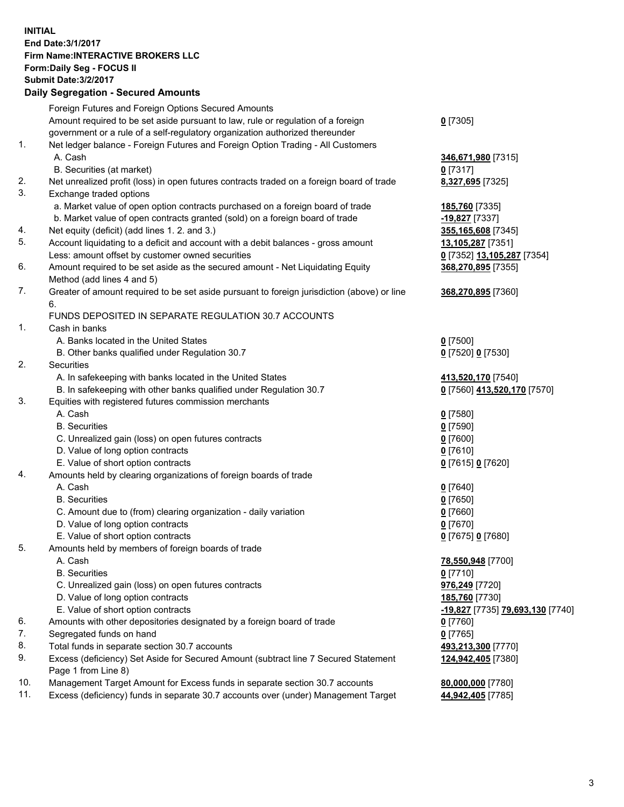## **INITIAL End Date:3/1/2017 Firm Name:INTERACTIVE BROKERS LLC Form:Daily Seg - FOCUS II Submit Date:3/2/2017 Daily Segregation - Secured Amounts**

|     | Foreign Futures and Foreign Options Secured Amounts                                                        |                                         |
|-----|------------------------------------------------------------------------------------------------------------|-----------------------------------------|
|     | Amount required to be set aside pursuant to law, rule or regulation of a foreign                           | $0$ [7305]                              |
|     | government or a rule of a self-regulatory organization authorized thereunder                               |                                         |
| 1.  | Net ledger balance - Foreign Futures and Foreign Option Trading - All Customers                            |                                         |
|     | A. Cash                                                                                                    | 346,671,980 [7315]                      |
|     | B. Securities (at market)                                                                                  | $0$ [7317]                              |
| 2.  | Net unrealized profit (loss) in open futures contracts traded on a foreign board of trade                  | 8,327,695 [7325]                        |
| 3.  | Exchange traded options                                                                                    |                                         |
|     | a. Market value of open option contracts purchased on a foreign board of trade                             | 185,760 [7335]                          |
|     | b. Market value of open contracts granted (sold) on a foreign board of trade                               | -19,827 [7337]                          |
| 4.  | Net equity (deficit) (add lines 1.2. and 3.)                                                               | 355,165,608 [7345]                      |
| 5.  | Account liquidating to a deficit and account with a debit balances - gross amount                          | 13,105,287 [7351]                       |
|     | Less: amount offset by customer owned securities                                                           | 0 [7352] 13,105,287 [7354]              |
| 6.  | Amount required to be set aside as the secured amount - Net Liquidating Equity                             | 368,270,895 [7355]                      |
|     | Method (add lines 4 and 5)                                                                                 |                                         |
| 7.  | Greater of amount required to be set aside pursuant to foreign jurisdiction (above) or line                | 368,270,895 [7360]                      |
|     | 6.                                                                                                         |                                         |
|     | FUNDS DEPOSITED IN SEPARATE REGULATION 30.7 ACCOUNTS                                                       |                                         |
| 1.  | Cash in banks                                                                                              |                                         |
|     | A. Banks located in the United States                                                                      | $0$ [7500]                              |
|     | B. Other banks qualified under Regulation 30.7                                                             | 0 [7520] 0 [7530]                       |
| 2.  | Securities                                                                                                 |                                         |
|     | A. In safekeeping with banks located in the United States                                                  | 413,520,170 [7540]                      |
|     | B. In safekeeping with other banks qualified under Regulation 30.7                                         | 0 [7560] 413,520,170 [7570]             |
| 3.  | Equities with registered futures commission merchants                                                      |                                         |
|     | A. Cash                                                                                                    | $0$ [7580]                              |
|     | <b>B.</b> Securities                                                                                       | $0$ [7590]                              |
|     | C. Unrealized gain (loss) on open futures contracts                                                        | $0$ [7600]                              |
|     | D. Value of long option contracts                                                                          | $0$ [7610]                              |
|     | E. Value of short option contracts                                                                         | 0 [7615] 0 [7620]                       |
| 4.  | Amounts held by clearing organizations of foreign boards of trade                                          |                                         |
|     | A. Cash                                                                                                    | $0$ [7640]                              |
|     | <b>B.</b> Securities                                                                                       | $0$ [7650]                              |
|     | C. Amount due to (from) clearing organization - daily variation                                            | $0$ [7660]                              |
|     | D. Value of long option contracts                                                                          | $0$ [7670]                              |
|     | E. Value of short option contracts                                                                         | 0 [7675] 0 [7680]                       |
| 5.  | Amounts held by members of foreign boards of trade                                                         |                                         |
|     | A. Cash                                                                                                    | 78,550,948 [7700]                       |
|     | <b>B.</b> Securities                                                                                       | $0$ [7710]                              |
|     | C. Unrealized gain (loss) on open futures contracts                                                        | 976,249 [7720]                          |
|     | D. Value of long option contracts                                                                          | 185,760 [7730]                          |
|     | E. Value of short option contracts                                                                         | <u>-19,827</u> [7735] 79,693,130 [7740] |
| 6.  | Amounts with other depositories designated by a foreign board of trade                                     | $0$ [7760]                              |
| 7.  | Segregated funds on hand                                                                                   | $0$ [7765]                              |
| 8.  | Total funds in separate section 30.7 accounts                                                              | 493,213,300 [7770]                      |
| 9.  | Excess (deficiency) Set Aside for Secured Amount (subtract line 7 Secured Statement<br>Page 1 from Line 8) | 124,942,405 [7380]                      |
| 10. | Management Target Amount for Excess funds in separate section 30.7 accounts                                | 80,000,000 [7780]                       |
| 11. | Excess (deficiency) funds in separate 30.7 accounts over (under) Management Target                         | 44,942,405 [7785]                       |
|     |                                                                                                            |                                         |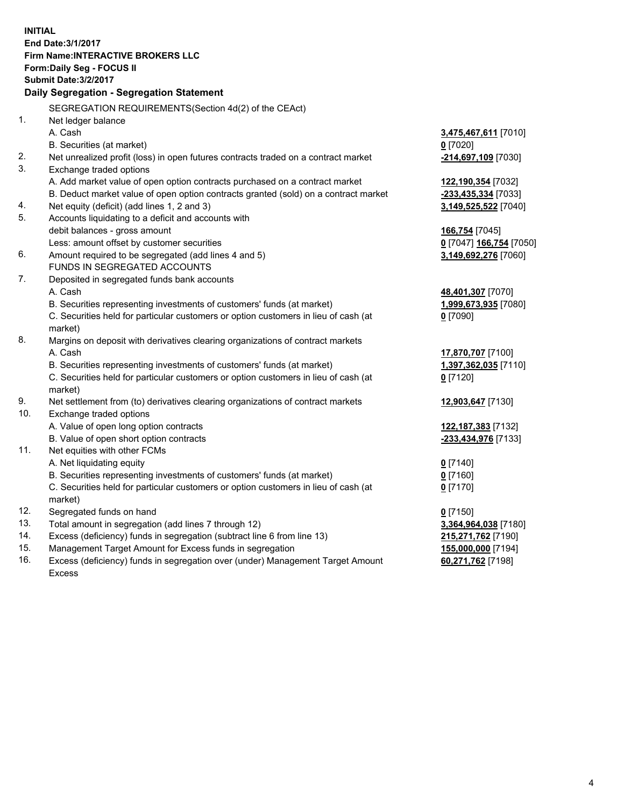**INITIAL End Date:3/1/2017 Firm Name:INTERACTIVE BROKERS LLC Form:Daily Seg - FOCUS II Submit Date:3/2/2017 Daily Segregation - Segregation Statement** SEGREGATION REQUIREMENTS(Section 4d(2) of the CEAct) 1. Net ledger balance A. Cash **3,475,467,611** [7010] B. Securities (at market) **0** [7020] 2. Net unrealized profit (loss) in open futures contracts traded on a contract market **-214,697,109** [7030] 3. Exchange traded options A. Add market value of open option contracts purchased on a contract market **122,190,354** [7032] B. Deduct market value of open option contracts granted (sold) on a contract market **-233,435,334** [7033] 4. Net equity (deficit) (add lines 1, 2 and 3) **3,149,525,522** [7040] 5. Accounts liquidating to a deficit and accounts with debit balances - gross amount **166,754** [7045] Less: amount offset by customer securities **0** [7047] **166,754** [7050] 6. Amount required to be segregated (add lines 4 and 5) **3,149,692,276** [7060] FUNDS IN SEGREGATED ACCOUNTS 7. Deposited in segregated funds bank accounts A. Cash **48,401,307** [7070] B. Securities representing investments of customers' funds (at market) **1,999,673,935** [7080] C. Securities held for particular customers or option customers in lieu of cash (at market) **0** [7090] 8. Margins on deposit with derivatives clearing organizations of contract markets A. Cash **17,870,707** [7100] B. Securities representing investments of customers' funds (at market) **1,397,362,035** [7110] C. Securities held for particular customers or option customers in lieu of cash (at market) **0** [7120] 9. Net settlement from (to) derivatives clearing organizations of contract markets **12,903,647** [7130] 10. Exchange traded options A. Value of open long option contracts **122,187,383** [7132] B. Value of open short option contracts **-233,434,976** [7133] 11. Net equities with other FCMs A. Net liquidating equity **0** [7140] B. Securities representing investments of customers' funds (at market) **0** [7160] C. Securities held for particular customers or option customers in lieu of cash (at market) **0** [7170] 12. Segregated funds on hand **0** [7150] 13. Total amount in segregation (add lines 7 through 12) **3,364,964,038** [7180] 14. Excess (deficiency) funds in segregation (subtract line 6 from line 13) **215,271,762** [7190] 15. Management Target Amount for Excess funds in segregation **155,000,000** [7194] 16. Excess (deficiency) funds in segregation over (under) Management Target Amount **60,271,762** [7198]

Excess